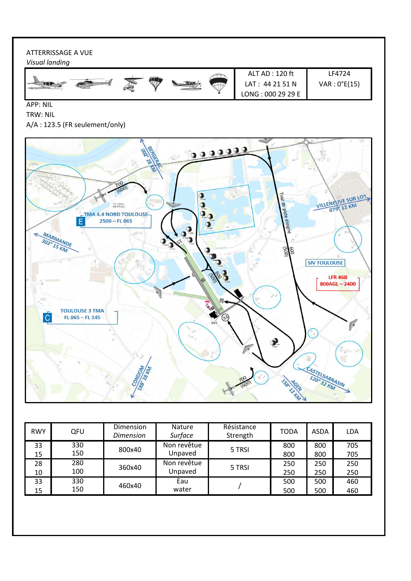# ATTERRISSAGE A VUE

*Visual landing*



APP: NIL

# TRW: NIL A/A : 123.5 (FR seulement/only)



| <b>RWY</b> | QFU | Dimension<br><b>Dimension</b> | <b>Nature</b><br>Surface | Résistance<br>Strength | <b>TODA</b> | ASDA | LDA |
|------------|-----|-------------------------------|--------------------------|------------------------|-------------|------|-----|
| 33         | 330 | 800x40                        | Non revêtue              | 5 TRSI                 | 800         | 800  | 705 |
| 15         | 150 |                               | Unpaved                  |                        | 800         | 800  | 705 |
| 28         | 280 | 360x40                        | Non revêtue              | 5 TRSI                 | 250         | 250  | 250 |
| 10         | 100 |                               | Unpaved                  |                        | 250         | 250  | 250 |
| 33         | 330 | 460x40                        | Eau                      |                        | 500         | 500  | 460 |
| 15         | 150 |                               | water                    |                        | 500         | 500  | 460 |